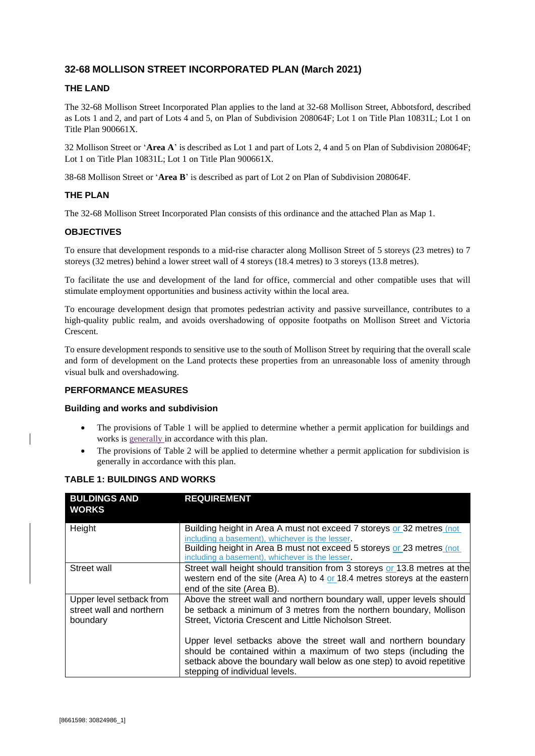# **32-68 MOLLISON STREET INCORPORATED PLAN (March 2021)**

## **THE LAND**

The 32-68 Mollison Street Incorporated Plan applies to the land at 32-68 Mollison Street, Abbotsford, described as Lots 1 and 2, and part of Lots 4 and 5, on Plan of Subdivision 208064F; Lot 1 on Title Plan 10831L; Lot 1 on Title Plan 900661X.

32 Mollison Street or '**Area A**' is described as Lot 1 and part of Lots 2, 4 and 5 on Plan of Subdivision 208064F; Lot 1 on Title Plan 10831L; Lot 1 on Title Plan 900661X.

38-68 Mollison Street or '**Area B**' is described as part of Lot 2 on Plan of Subdivision 208064F.

## **THE PLAN**

The 32-68 Mollison Street Incorporated Plan consists of this ordinance and the attached Plan as Map 1.

### **OBJECTIVES**

To ensure that development responds to a mid-rise character along Mollison Street of 5 storeys (23 metres) to 7 storeys (32 metres) behind a lower street wall of 4 storeys (18.4 metres) to 3 storeys (13.8 metres).

To facilitate the use and development of the land for office, commercial and other compatible uses that will stimulate employment opportunities and business activity within the local area.

To encourage development design that promotes pedestrian activity and passive surveillance, contributes to a high-quality public realm, and avoids overshadowing of opposite footpaths on Mollison Street and Victoria Crescent.

To ensure development responds to sensitive use to the south of Mollison Street by requiring that the overall scale and form of development on the Land protects these properties from an unreasonable loss of amenity through visual bulk and overshadowing.

### **PERFORMANCE MEASURES**

#### **Building and works and subdivision**

- The provisions of Table 1 will be applied to determine whether a permit application for buildings and works is generally in accordance with this plan.
- The provisions of Table 2 will be applied to determine whether a permit application for subdivision is generally in accordance with this plan.

| <b>BULDINGS AND</b><br><b>WORKS</b>                              | <b>REQUIREMENT</b>                                                                                                                                                                                                                                   |
|------------------------------------------------------------------|------------------------------------------------------------------------------------------------------------------------------------------------------------------------------------------------------------------------------------------------------|
| Height                                                           | Building height in Area A must not exceed 7 storeys or 32 metres (not<br>including a basement), whichever is the lesser.<br>Building height in Area B must not exceed 5 storeys or 23 metres (not<br>including a basement), whichever is the lesser. |
| Street wall                                                      | Street wall height should transition from 3 storeys or 13.8 metres at the<br>western end of the site (Area A) to 4 or 18.4 metres storeys at the eastern<br>end of the site (Area B).                                                                |
| Upper level setback from<br>street wall and northern<br>boundary | Above the street wall and northern boundary wall, upper levels should<br>be setback a minimum of 3 metres from the northern boundary, Mollison<br>Street, Victoria Crescent and Little Nicholson Street.                                             |
|                                                                  | Upper level setbacks above the street wall and northern boundary<br>should be contained within a maximum of two steps (including the<br>setback above the boundary wall below as one step) to avoid repetitive<br>stepping of individual levels.     |

### **TABLE 1: BUILDINGS AND WORKS**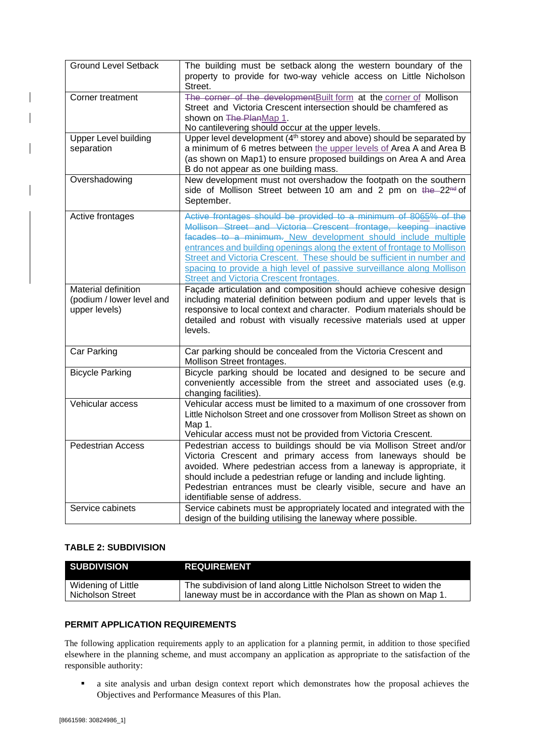| <b>Ground Level Setback</b>                                       | The building must be setback along the western boundary of the<br>property to provide for two-way vehicle access on Little Nicholson<br>Street.                                                                                                                                                                                                                                                                                                                                         |
|-------------------------------------------------------------------|-----------------------------------------------------------------------------------------------------------------------------------------------------------------------------------------------------------------------------------------------------------------------------------------------------------------------------------------------------------------------------------------------------------------------------------------------------------------------------------------|
| Corner treatment                                                  | The corner of the developmentBuilt form at the corner of Mollison<br>Street and Victoria Crescent intersection should be chamfered as<br>shown on The PlanMap 1.<br>No cantilevering should occur at the upper levels.                                                                                                                                                                                                                                                                  |
| <b>Upper Level building</b><br>separation                         | Upper level development (4 <sup>th</sup> storey and above) should be separated by<br>a minimum of 6 metres between the upper levels of Area A and Area B<br>(as shown on Map1) to ensure proposed buildings on Area A and Area<br>B do not appear as one building mass.                                                                                                                                                                                                                 |
| Overshadowing                                                     | New development must not overshadow the footpath on the southern<br>side of Mollison Street between 10 am and 2 pm on the 22 <sup>nd</sup> of<br>September.                                                                                                                                                                                                                                                                                                                             |
| Active frontages                                                  | Active frontages should be provided to a minimum of 8065% of the<br>Mollison Street and Victoria Crescent frontage, keeping inactive<br>facades to a minimum. New development should include multiple<br>entrances and building openings along the extent of frontage to Mollison<br>Street and Victoria Crescent. These should be sufficient in number and<br>spacing to provide a high level of passive surveillance along Mollison<br><b>Street and Victoria Crescent frontages.</b> |
| Material definition<br>(podium / lower level and<br>upper levels) | Façade articulation and composition should achieve cohesive design<br>including material definition between podium and upper levels that is<br>responsive to local context and character. Podium materials should be<br>detailed and robust with visually recessive materials used at upper<br>levels.                                                                                                                                                                                  |
| Car Parking                                                       | Car parking should be concealed from the Victoria Crescent and<br>Mollison Street frontages.                                                                                                                                                                                                                                                                                                                                                                                            |
| <b>Bicycle Parking</b>                                            | Bicycle parking should be located and designed to be secure and<br>conveniently accessible from the street and associated uses (e.g.<br>changing facilities).                                                                                                                                                                                                                                                                                                                           |
| Vehicular access                                                  | Vehicular access must be limited to a maximum of one crossover from<br>Little Nicholson Street and one crossover from Mollison Street as shown on<br>Map 1.<br>Vehicular access must not be provided from Victoria Crescent.                                                                                                                                                                                                                                                            |
| <b>Pedestrian Access</b>                                          | Pedestrian access to buildings should be via Mollison Street and/or<br>Victoria Crescent and primary access from laneways should be<br>avoided. Where pedestrian access from a laneway is appropriate, it<br>should include a pedestrian refuge or landing and include lighting.<br>Pedestrian entrances must be clearly visible, secure and have an<br>identifiable sense of address.                                                                                                  |
| Service cabinets                                                  | Service cabinets must be appropriately located and integrated with the<br>design of the building utilising the laneway where possible.                                                                                                                                                                                                                                                                                                                                                  |

## **TABLE 2: SUBDIVISION**

 $\mathsf{l}$ 

| <b>SUBDIVISION</b> | <b>REQUIREMENT</b>                                                 |
|--------------------|--------------------------------------------------------------------|
| Widening of Little | The subdivision of land along Little Nicholson Street to widen the |
| Nicholson Street   | laneway must be in accordance with the Plan as shown on Map 1.     |

## **PERMIT APPLICATION REQUIREMENTS**

The following application requirements apply to an application for a planning permit, in addition to those specified elsewhere in the planning scheme, and must accompany an application as appropriate to the satisfaction of the responsible authority:

■ a site analysis and urban design context report which demonstrates how the proposal achieves the Objectives and Performance Measures of this Plan.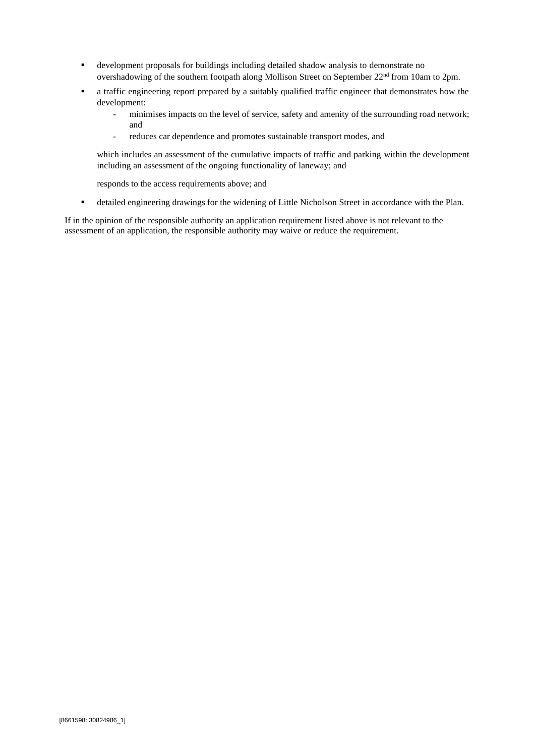- development proposals for buildings including detailed shadow analysis to demonstrate no overshadowing of the southern footpath along Mollison Street on September 22nd from 10am to 2pm.
- a traffic engineering report prepared by a suitably qualified traffic engineer that demonstrates how the development:
	- minimises impacts on the level of service, safety and amenity of the surrounding road network; and
	- reduces car dependence and promotes sustainable transport modes, and

which includes an assessment of the cumulative impacts of traffic and parking within the development including an assessment of the ongoing functionality of laneway; and

responds to the access requirements above; and

▪ detailed engineering drawings for the widening of Little Nicholson Street in accordance with the Plan.

If in the opinion of the responsible authority an application requirement listed above is not relevant to the assessment of an application, the responsible authority may waive or reduce the requirement.